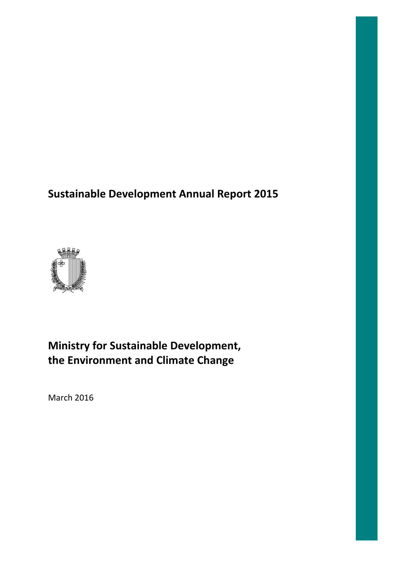# **Sustainable Development Annual ustainable Report 2015**



# **Ministry for Sustainable Development, the Environment and Climate Change**

March 2016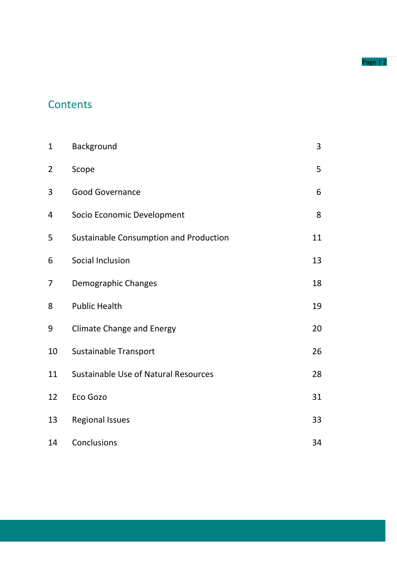#### Page | 2

# **Contents**

| $\mathbf{1}$   | Background                                  | 3  |
|----------------|---------------------------------------------|----|
| $\overline{2}$ | Scope                                       | 5  |
| 3              | <b>Good Governance</b>                      | 6  |
| 4              | Socio Economic Development                  | 8  |
| 5              | Sustainable Consumption and Production      | 11 |
| 6              | Social Inclusion                            | 13 |
| 7              | Demographic Changes                         | 18 |
| 8              | <b>Public Health</b>                        | 19 |
| 9              | <b>Climate Change and Energy</b>            | 20 |
| 10             | <b>Sustainable Transport</b>                | 26 |
| 11             | <b>Sustainable Use of Natural Resources</b> | 28 |
| 12             | Eco Gozo                                    | 31 |
| 13             | <b>Regional Issues</b>                      | 33 |
| 14             | Conclusions                                 | 34 |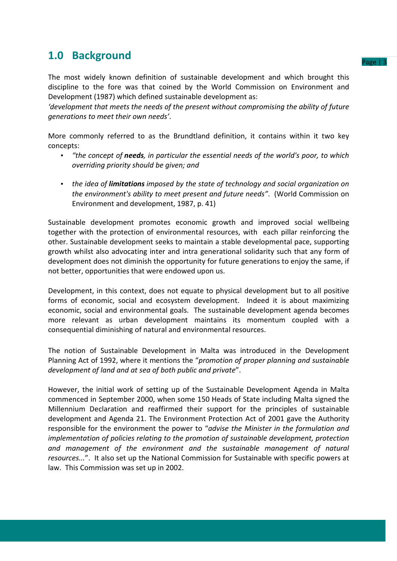### **1.0 Background**

The most widely known definition of sustainable development and which brought this discipline to the fore was that coined by the World Commission on Environment and Development (1987) which defined sustainable development as:

*'development that meets the needs of the present without compromising the ability of future generations to meet their own needs'*.

More commonly referred to as the Brundtland definition, it contains within it two key concepts:

- *"the concept of needs, in particular the essential needs of the world's poor, to which overriding priority should be given; and*
- *the idea of limitations imposed by the state of technology and social organization on the environment's ability to meet present and future needs"*. (World Commission on Environment and development, 1987, p. 41)

Sustainable development promotes economic growth and improved social wellbeing together with the protection of environmental resources, with each pillar reinforcing the other. Sustainable development seeks to maintain a stable developmental pace, supporting growth whilst also advocating inter and intra generational solidarity such that any form of development does not diminish the opportunity for future generations to enjoy the same, if not better, opportunities that were endowed upon us.

Development, in this context, does not equate to physical development but to all positive forms of economic, social and ecosystem development. Indeed it is about maximizing economic, social and environmental goals. The sustainable development agenda becomes more relevant as urban development maintains its momentum coupled with a consequential diminishing of natural and environmental resources.

The notion of Sustainable Development in Malta was introduced in the Development Planning Act of 1992, where it mentions the "*promotion of proper planning and sustainable development of land and at sea of both public and private*".

However, the initial work of setting up of the Sustainable Development Agenda in Malta commenced in September 2000, when some 150 Heads of State including Malta signed the Millennium Declaration and reaffirmed their support for the principles of sustainable development and Agenda 21. The Environment Protection Act of 2001 gave the Authority responsible for the environment the power to "*advise the Minister in the formulation and implementation of policies relating to the promotion of sustainable development, protection and management of the environment and the sustainable management of natural resources...*". It also set up the National Commission for Sustainable with specific powers at law. This Commission was set up in 2002.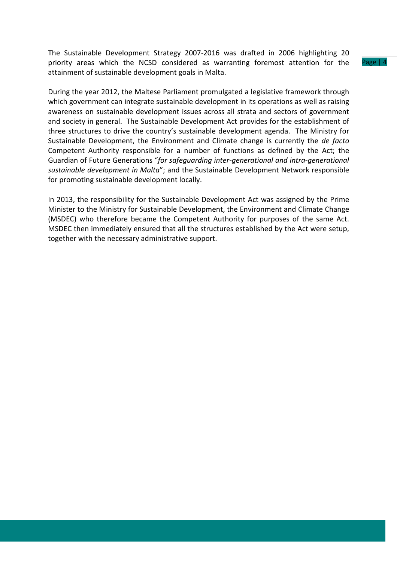The Sustainable Development Strategy 2007-2016 was drafted in 2006 highlighting 20 priority areas which the NCSD considered as warranting foremost attention for the attainment of sustainable development goals in Malta.

During the year 2012, the Maltese Parliament promulgated a legislative framework through which government can integrate sustainable development in its operations as well as raising awareness on sustainable development issues across all strata and sectors of government and society in general. The Sustainable Development Act provides for the establishment of three structures to drive the country's sustainable development agenda. The Ministry for Sustainable Development, the Environment and Climate change is currently the *de facto* Competent Authority responsible for a number of functions as defined by the Act; the Guardian of Future Generations "*for safeguarding inter-generational and intra-generational sustainable development in Malta*"; and the Sustainable Development Network responsible for promoting sustainable development locally.

In 2013, the responsibility for the Sustainable Development Act was assigned by the Prime Minister to the Ministry for Sustainable Development, the Environment and Climate Change (MSDEC) who therefore became the Competent Authority for purposes of the same Act. MSDEC then immediately ensured that all the structures established by the Act were setup, together with the necessary administrative support.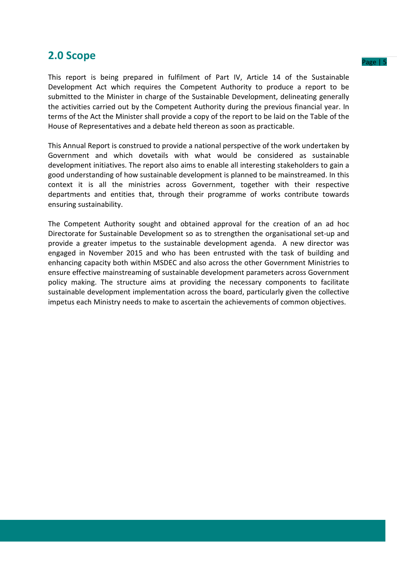### **2.0 Scope**

This report is being prepared in fulfilment of Part IV, Article 14 of the Sustainable Development Act which requires the Competent Authority to produce a report to be submitted to the Minister in charge of the Sustainable Development, delineating generally the activities carried out by the Competent Authority during the previous financial year. In terms of the Act the Minister shall provide a copy of the report to be laid on the Table of the House of Representatives and a debate held thereon as soon as practicable.

This Annual Report is construed to provide a national perspective of the work undertaken by Government and which dovetails with what would be considered as sustainable development initiatives. The report also aims to enable all interesting stakeholders to gain a good understanding of how sustainable development is planned to be mainstreamed. In this context it is all the ministries across Government, together with their respective departments and entities that, through their programme of works contribute towards ensuring sustainability.

The Competent Authority sought and obtained approval for the creation of an ad hoc Directorate for Sustainable Development so as to strengthen the organisational set-up and provide a greater impetus to the sustainable development agenda. A new director was engaged in November 2015 and who has been entrusted with the task of building and enhancing capacity both within MSDEC and also across the other Government Ministries to ensure effective mainstreaming of sustainable development parameters across Government policy making. The structure aims at providing the necessary components to facilitate sustainable development implementation across the board, particularly given the collective impetus each Ministry needs to make to ascertain the achievements of common objectives.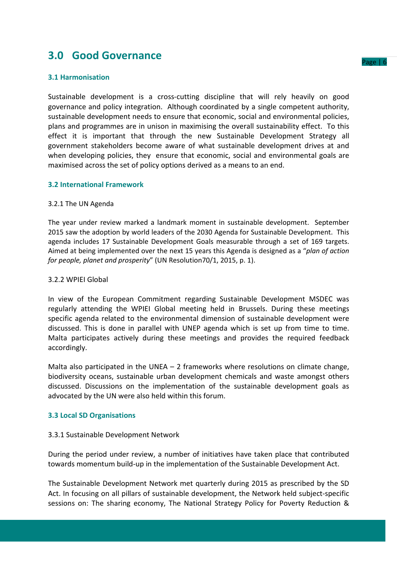### **3.0 Good Governance**

### **3.1 Harmonisation**

Sustainable development is a cross-cutting discipline that will rely heavily on good governance and policy integration. Although coordinated by a single competent authority, sustainable development needs to ensure that economic, social and environmental policies, plans and programmes are in unison in maximising the overall sustainability effect. To this effect it is important that through the new Sustainable Development Strategy all government stakeholders become aware of what sustainable development drives at and when developing policies, they ensure that economic, social and environmental goals are maximised across the set of policy options derived as a means to an end.

### **3.2 International Framework**

#### 3.2.1 The UN Agenda

The year under review marked a landmark moment in sustainable development. September 2015 saw the adoption by world leaders of the 2030 Agenda for Sustainable Development. This agenda includes 17 Sustainable Development Goals measurable through a set of 169 targets. Aimed at being implemented over the next 15 years this Agenda is designed as a "*plan of action for people, planet and prosperity*" (UN Resolution70/1, 2015, p. 1).

### 3.2.2 WPIEI Global

In view of the European Commitment regarding Sustainable Development MSDEC was regularly attending the WPIEI Global meeting held in Brussels. During these meetings specific agenda related to the environmental dimension of sustainable development were discussed. This is done in parallel with UNEP agenda which is set up from time to time. Malta participates actively during these meetings and provides the required feedback accordingly.

Malta also participated in the UNEA – 2 frameworks where resolutions on climate change, biodiversity oceans, sustainable urban development chemicals and waste amongst others discussed. Discussions on the implementation of the sustainable development goals as advocated by the UN were also held within this forum.

### **3.3 Local SD Organisations**

#### 3.3.1 Sustainable Development Network

During the period under review, a number of initiatives have taken place that contributed towards momentum build-up in the implementation of the Sustainable Development Act.

The Sustainable Development Network met quarterly during 2015 as prescribed by the SD Act. In focusing on all pillars of sustainable development, the Network held subject-specific sessions on: The sharing economy, The National Strategy Policy for Poverty Reduction &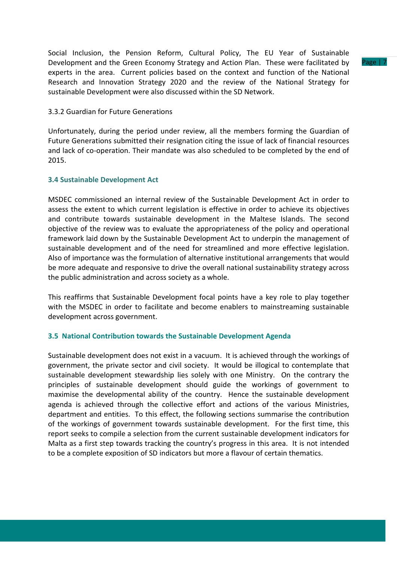Social Inclusion, the Pension Reform, Cultural Policy, The EU Year of Sustainable Development and the Green Economy Strategy and Action Plan. These were facilitated by experts in the area. Current policies based on the context and function of the National Research and Innovation Strategy 2020 and the review of the National Strategy for sustainable Development were also discussed within the SD Network.

#### 3.3.2 Guardian for Future Generations

Unfortunately, during the period under review, all the members forming the Guardian of Future Generations submitted their resignation citing the issue of lack of financial resources and lack of co-operation. Their mandate was also scheduled to be completed by the end of 2015.

### **3.4 Sustainable Development Act**

MSDEC commissioned an internal review of the Sustainable Development Act in order to assess the extent to which current legislation is effective in order to achieve its objectives and contribute towards sustainable development in the Maltese Islands. The second objective of the review was to evaluate the appropriateness of the policy and operational framework laid down by the Sustainable Development Act to underpin the management of sustainable development and of the need for streamlined and more effective legislation. Also of importance was the formulation of alternative institutional arrangements that would be more adequate and responsive to drive the overall national sustainability strategy across the public administration and across society as a whole.

This reaffirms that Sustainable Development focal points have a key role to play together with the MSDEC in order to facilitate and become enablers to mainstreaming sustainable development across government.

### **3.5 National Contribution towards the Sustainable Development Agenda**

Sustainable development does not exist in a vacuum. It is achieved through the workings of government, the private sector and civil society. It would be illogical to contemplate that sustainable development stewardship lies solely with one Ministry. On the contrary the principles of sustainable development should guide the workings of government to maximise the developmental ability of the country. Hence the sustainable development agenda is achieved through the collective effort and actions of the various Ministries, department and entities. To this effect, the following sections summarise the contribution of the workings of government towards sustainable development. For the first time, this report seeks to compile a selection from the current sustainable development indicators for Malta as a first step towards tracking the country's progress in this area. It is not intended to be a complete exposition of SD indicators but more a flavour of certain thematics.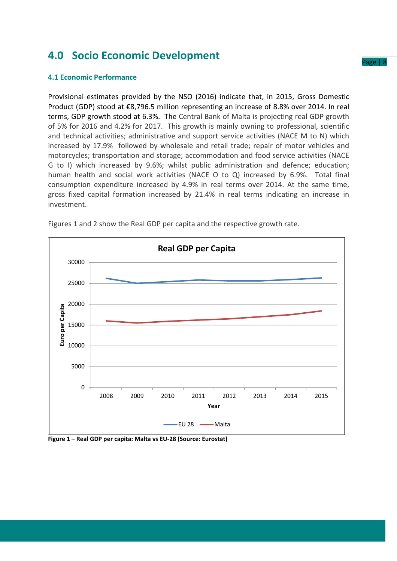### **4.0 Socio Economic Development**

### **4.1 Economic Performance**

Provisional estimates provided by the NSO (2016) indicate that, in 2015, Gross Domestic Product (GDP) stood at €8,796.5 million representing an increase of 8.8% over 2014. In real terms, GDP growth stood at 6.3%. The Central Bank of Malta is projecting real GDP growth of 5% for 2016 and 4.2% for 2017. This growth is mainly owning to professional, scientific and technical activities; administrative and support service activities (NACE M to N) which increased by 17.9% followed by wholesale and retail trade; repair of motor vehicles and motorcycles; transportation and storage; accommodation and food service activities (NACE G to I) which increased by 9.6%; whilst public administration and defence; education; human health and social work activities (NACE O to Q) increased by 6.9%. Total final consumption expenditure increased by 4.9% in real terms over 2014. At the same time, gross fixed capital formation increased by 21.4% in real terms indicating an increase in investment.



Figures 1 and 2 show the Real GDP per capita and the respective growth rate.

#### **Figure 1 – Real GDP per capita: Malta vs EU-28 (Source: Eurostat)**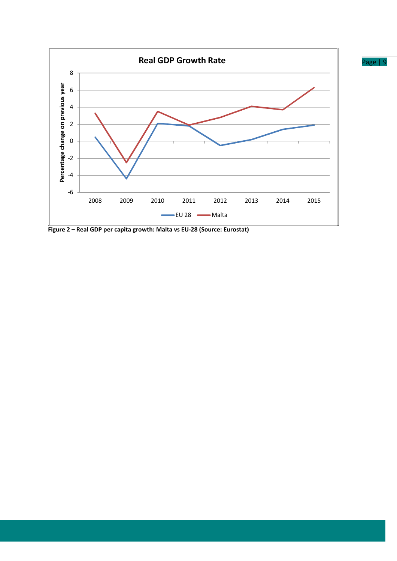

**Figure 2 – Real GDP per capita growth: Malta vs EU-28 (Source: Eurostat)**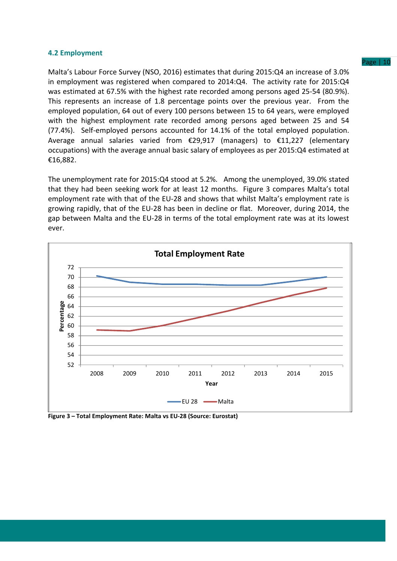### **4.2 Employment**

Malta's Labour Force Survey (NSO, 2016) estimates that during 2015:Q4 an increase of 3.0% in employment was registered when compared to 2014:Q4. The activity rate for 2015:Q4 was estimated at 67.5% with the highest rate recorded among persons aged 25-54 (80.9%). This represents an increase of 1.8 percentage points over the previous year. From the employed population, 64 out of every 100 persons between 15 to 64 years, were employed with the highest employment rate recorded among persons aged between 25 and 54 (77.4%). Self-employed persons accounted for 14.1% of the total employed population. Average annual salaries varied from €29,917 (managers) to €11,227 (elementary occupations) with the average annual basic salary of employees as per 2015:Q4 estimated at €16,882.

The unemployment rate for 2015:Q4 stood at 5.2%. Among the unemployed, 39.0% stated that they had been seeking work for at least 12 months. Figure 3 compares Malta's total employment rate with that of the EU-28 and shows that whilst Malta's employment rate is growing rapidly, that of the EU-28 has been in decline or flat. Moreover, during 2014, the gap between Malta and the EU-28 in terms of the total employment rate was at its lowest ever.



**Figure 3 – Total Employment Rate: Malta vs EU-28 (Source: Eurostat)**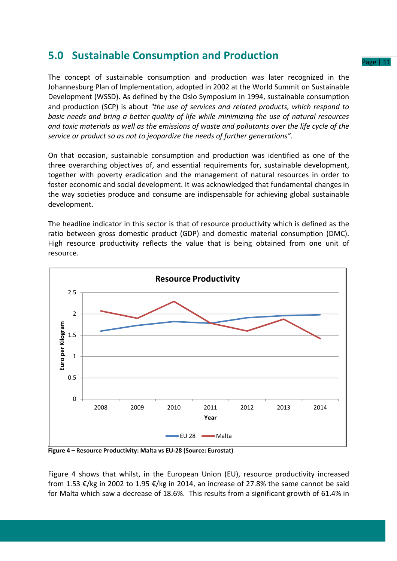### **5.0 Sustainable Consumption and Production**

The concept of sustainable consumption and production was later recognized in the Johannesburg Plan of Implementation, adopted in 2002 at the World Summit on Sustainable Development (WSSD). As defined by the Oslo Symposium in 1994, sustainable consumption and production (SCP) is about *"the use of services and related products, which respond to basic needs and bring a better quality of life while minimizing the use of natural resources and toxic materials as well as the emissions of waste and pollutants over the life cycle of the service or product so as not to jeopardize the needs of further generations"*.

On that occasion, sustainable consumption and production was identified as one of the three overarching objectives of, and essential requirements for, sustainable development, together with poverty eradication and the management of natural resources in order to foster economic and social development. It was acknowledged that fundamental changes in the way societies produce and consume are indispensable for achieving global sustainable development.

The headline indicator in this sector is that of resource productivity which is defined as the ratio between gross domestic product (GDP) and domestic material consumption (DMC). High resource productivity reflects the value that is being obtained from one unit of resource.



**Figure 4 – Resource Productivity: Malta vs EU-28 (Source: Eurostat)** 

Figure 4 shows that whilst, in the European Union (EU), resource productivity increased from 1.53 €/kg in 2002 to 1.95 €/kg in 2014, an increase of 27.8% the same cannot be said for Malta which saw a decrease of 18.6%. This results from a significant growth of 61.4% in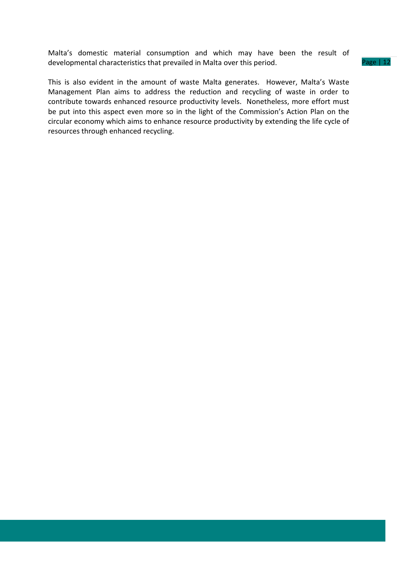Malta's domestic material consumption and which may have been the result of developmental characteristics that prevailed in Malta over this period.

This is also evident in the amount of waste Malta generates. However, Malta's Waste Management Plan aims to address the reduction and recycling of waste in order to contribute towards enhanced resource productivity levels. Nonetheless, more effort must be put into this aspect even more so in the light of the Commission's Action Plan on the circular economy which aims to enhance resource productivity by extending the life cycle of resources through enhanced recycling.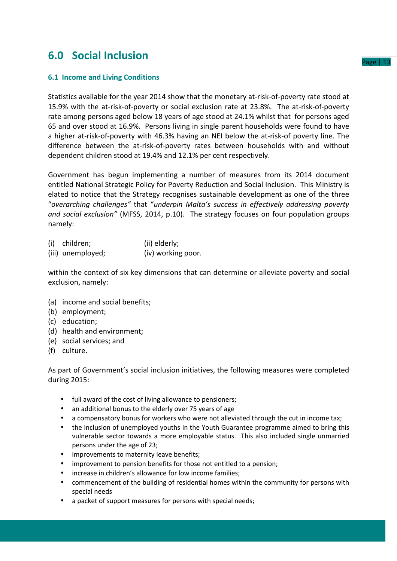## **6.0 Social Inclusion**

### **6.1 Income and Living Conditions**

Statistics available for the year 2014 show that the monetary at-risk-of-poverty rate stood at 15.9% with the at-risk-of-poverty or social exclusion rate at 23.8%. The at-risk-of-poverty rate among persons aged below 18 years of age stood at 24.1% whilst that for persons aged 65 and over stood at 16.9%. Persons living in single parent households were found to have a higher at-risk-of-poverty with 46.3% having an NEI below the at-risk-of poverty line. The difference between the at-risk-of-poverty rates between households with and without dependent children stood at 19.4% and 12.1% per cent respectively.

Government has begun implementing a number of measures from its 2014 document entitled National Strategic Policy for Poverty Reduction and Social Inclusion. This Ministry is elated to notice that the Strategy recognises sustainable development as one of the three "*overarching challenges"* that "*underpin Malta's success in effectively addressing poverty and social exclusion"* (MFSS, 2014, p.10). The strategy focuses on four population groups namely:

| (i) | children;         | (ii) elderly;      |
|-----|-------------------|--------------------|
|     | (iii) unemployed; | (iv) working poor. |

within the context of six key dimensions that can determine or alleviate poverty and social exclusion, namely:

- (a) income and social benefits;
- (b) employment;
- (c) education;
- (d) health and environment;
- (e) social services; and
- (f) culture.

As part of Government's social inclusion initiatives, the following measures were completed during 2015:

- full award of the cost of living allowance to pensioners;
- an additional bonus to the elderly over 75 years of age
- a compensatory bonus for workers who were not alleviated through the cut in income tax;
- the inclusion of unemployed youths in the Youth Guarantee programme aimed to bring this vulnerable sector towards a more employable status. This also included single unmarried persons under the age of 23;
- improvements to maternity leave benefits;
- improvement to pension benefits for those not entitled to a pension:
- increase in children's allowance for low income families;
- commencement of the building of residential homes within the community for persons with special needs
- a packet of support measures for persons with special needs: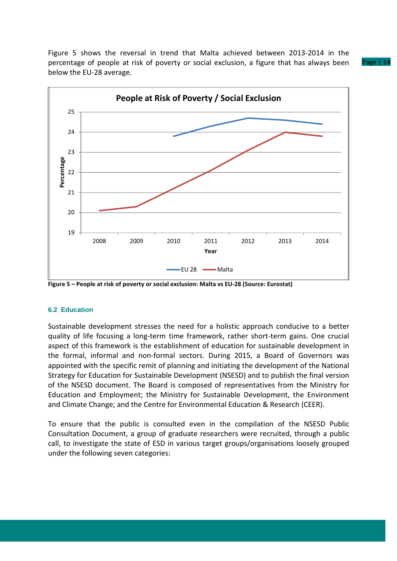Figure 5 shows the reversal in trend that Malta achieved between 2013-2014 in the percentage of people at risk of poverty or social exclusion, a figure that has always been below the EU-28 average.





**Figure 5 – People at risk of poverty or social exclusion: Malta vs EU-28 (Source: Eurostat)** 

#### **6.2 Education**

Sustainable development stresses the need for a holistic approach conducive to a better quality of life focusing a long-term time framework, rather short-term gains. One crucial aspect of this framework is the establishment of education for sustainable development in the formal, informal and non-formal sectors. During 2015, a Board of Governors was appointed with the specific remit of planning and initiating the development of the National Strategy for Education for Sustainable Development (NSESD) and to publish the final version of the NSESD document. The Board is composed of representatives from the Ministry for Education and Employment; the Ministry for Sustainable Development, the Environment and Climate Change; and the Centre for Environmental Education & Research (CEER).

To ensure that the public is consulted even in the compilation of the NSESD Public Consultation Document, a group of graduate researchers were recruited, through a public call, to investigate the state of ESD in various target groups/organisations loosely grouped under the following seven categories: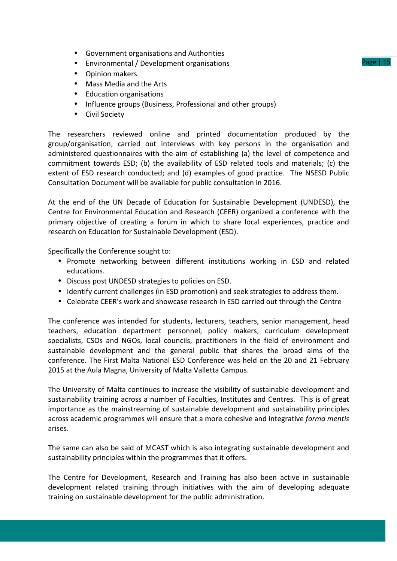- Government organisations and Authorities
- Environmental / Development organisations
- Opinion makers
- Mass Media and the Arts
- Education organisations
- Influence groups (Business, Professional and other groups)
- Civil Society

The researchers reviewed online and printed documentation produced by the group/organisation, carried out interviews with key persons in the organisation and administered questionnaires with the aim of establishing (a) the level of competence and commitment towards ESD; (b) the availability of ESD related tools and materials; (c) the extent of ESD research conducted; and (d) examples of good practice. The NSESD Public Consultation Document will be available for public consultation in 2016.

At the end of the UN Decade of Education for Sustainable Development (UNDESD), the Centre for Environmental Education and Research (CEER) organized a conference with the primary objective of creating a forum in which to share local experiences, practice and research on Education for Sustainable Development (ESD).

Specifically the Conference sought to:

- Promote networking between different institutions working in ESD and related educations.
- Discuss post UNDESD strategies to policies on ESD.
- Identify current challenges (in ESD promotion) and seek strategies to address them.
- Celebrate CEER's work and showcase research in ESD carried out through the Centre

The conference was intended for students, lecturers, teachers, senior management, head teachers, education department personnel, policy makers, curriculum development specialists, CSOs and NGOs, local councils, practitioners in the field of environment and sustainable development and the general public that shares the broad aims of the conference. The First Malta National ESD Conference was held on the 20 and 21 February 2015 at the Aula Magna, University of Malta Valletta Campus.

The University of Malta continues to increase the visibility of sustainable development and sustainability training across a number of Faculties, Institutes and Centres. This is of great importance as the mainstreaming of sustainable development and sustainability principles across academic programmes will ensure that a more cohesive and integrative *forma mentis* arises.

The same can also be said of MCAST which is also integrating sustainable development and sustainability principles within the programmes that it offers.

The Centre for Development, Research and Training has also been active in sustainable development related training through initiatives with the aim of developing adequate training on sustainable development for the public administration.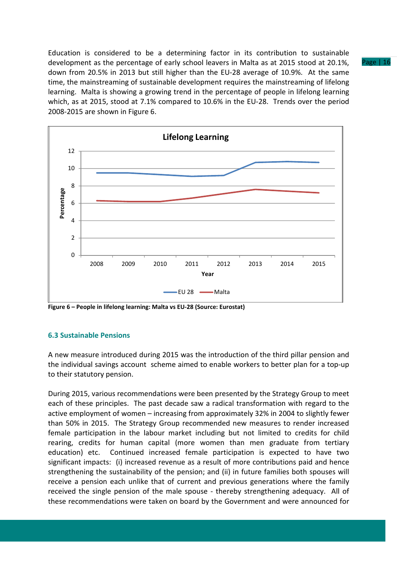Education is considered to be a determining factor in its contribution to sustainable development as the percentage of early school leavers in Malta as at 2015 stood at 20.1%, down from 20.5% in 2013 but still higher than the EU-28 average of 10.9%. At the same time, the mainstreaming of sustainable development requires the mainstreaming of lifelong learning. Malta is showing a growing trend in the percentage of people in lifelong learning which, as at 2015, stood at 7.1% compared to 10.6% in the EU-28. Trends over the period 2008-2015 are shown in Figure 6.



**Figure 6 – People in lifelong learning: Malta vs EU-28 (Source: Eurostat)** 

### **6.3 Sustainable Pensions**

A new measure introduced during 2015 was the introduction of the third pillar pension and the individual savings account scheme aimed to enable workers to better plan for a top-up to their statutory pension.

During 2015, various recommendations were been presented by the Strategy Group to meet each of these principles. The past decade saw a radical transformation with regard to the active employment of women – increasing from approximately 32% in 2004 to slightly fewer than 50% in 2015. The Strategy Group recommended new measures to render increased female participation in the labour market including but not limited to credits for child rearing, credits for human capital (more women than men graduate from tertiary education) etc. Continued increased female participation is expected to have two significant impacts: (i) increased revenue as a result of more contributions paid and hence strengthening the sustainability of the pension; and (ii) in future families both spouses will receive a pension each unlike that of current and previous generations where the family received the single pension of the male spouse - thereby strengthening adequacy. All of these recommendations were taken on board by the Government and were announced for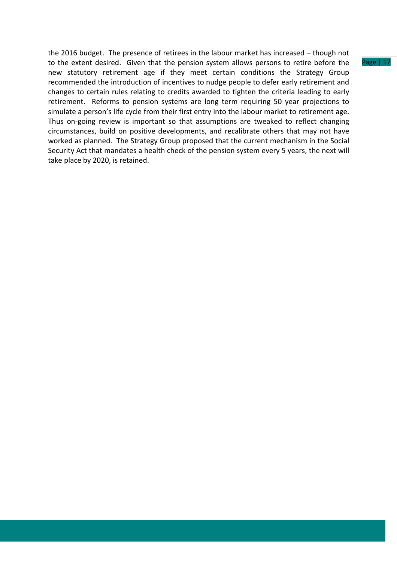the 2016 budget. The presence of retirees in the labour market has increased – though not to the extent desired. Given that the pension system allows persons to retire before the new statutory retirement age if they meet certain conditions the Strategy Group recommended the introduction of incentives to nudge people to defer early retirement and changes to certain rules relating to credits awarded to tighten the criteria leading to early retirement. Reforms to pension systems are long term requiring 50 year projections to simulate a person's life cycle from their first entry into the labour market to retirement age. Thus on-going review is important so that assumptions are tweaked to reflect changing circumstances, build on positive developments, and recalibrate others that may not have worked as planned. The Strategy Group proposed that the current mechanism in the Social Security Act that mandates a health check of the pension system every 5 years, the next will take place by 2020, is retained.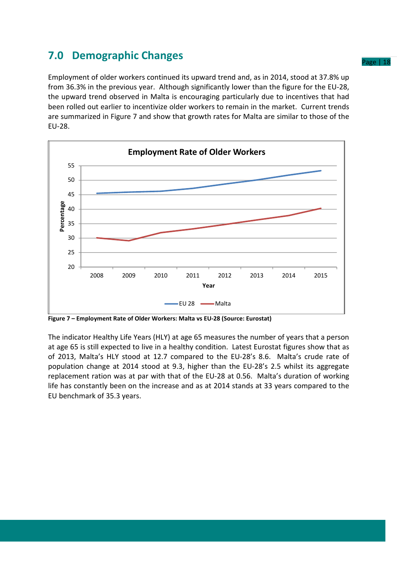# **7.0 Demographic Changes**

Employment of older workers continued its upward trend and, as in 2014, stood at 37.8% up from 36.3% in the previous year. Although significantly lower than the figure for the EU-28, the upward trend observed in Malta is encouraging particularly due to incentives that had been rolled out earlier to incentivize older workers to remain in the market. Current trends are summarized in Figure 7 and show that growth rates for Malta are similar to those of the EU-28.



**Figure 7 – Employment Rate of Older Workers: Malta vs EU-28 (Source: Eurostat)** 

The indicator Healthy Life Years (HLY) at age 65 measures the number of years that a person at age 65 is still expected to live in a healthy condition. Latest Eurostat figures show that as of 2013, Malta's HLY stood at 12.7 compared to the EU-28's 8.6. Malta's crude rate of population change at 2014 stood at 9.3, higher than the EU-28's 2.5 whilst its aggregate replacement ration was at par with that of the EU-28 at 0.56. Malta's duration of working life has constantly been on the increase and as at 2014 stands at 33 years compared to the EU benchmark of 35.3 years.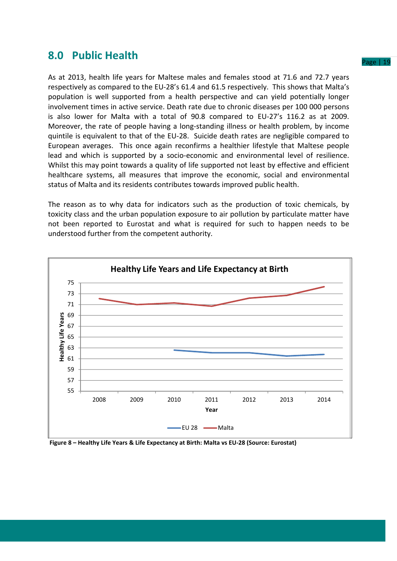### **8.0 Public Health**

As at 2013, health life years for Maltese males and females stood at 71.6 and 72.7 years respectively as compared to the EU-28's 61.4 and 61.5 respectively. This shows that Malta's population is well supported from a health perspective and can yield potentially longer involvement times in active service. Death rate due to chronic diseases per 100 000 persons is also lower for Malta with a total of 90.8 compared to EU-27's 116.2 as at 2009. Moreover, the rate of people having a long-standing illness or health problem, by income quintile is equivalent to that of the EU-28. Suicide death rates are negligible compared to European averages. This once again reconfirms a healthier lifestyle that Maltese people lead and which is supported by a socio-economic and environmental level of resilience. Whilst this may point towards a quality of life supported not least by effective and efficient healthcare systems, all measures that improve the economic, social and environmental status of Malta and its residents contributes towards improved public health.

The reason as to why data for indicators such as the production of toxic chemicals, by toxicity class and the urban population exposure to air pollution by particulate matter have not been reported to Eurostat and what is required for such to happen needs to be understood further from the competent authority.



 **Figure 8 – Healthy Life Years & Life Expectancy at Birth: Malta vs EU-28 (Source: Eurostat)**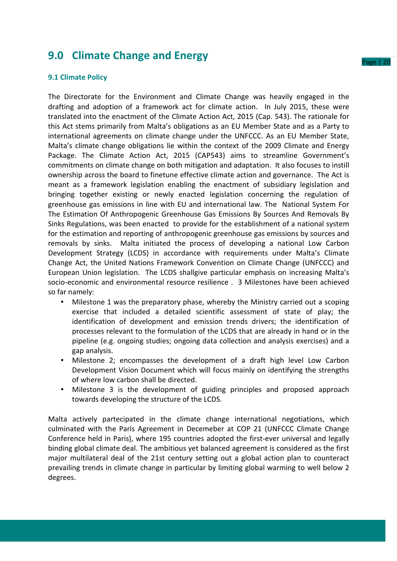### **9.0 Climate Change and Energy**

### **9.1 Climate Policy**

The Directorate for the Environment and Climate Change was heavily engaged in the drafting and adoption of a framework act for climate action. In July 2015, these were translated into the enactment of the Climate Action Act, 2015 (Cap. 543). The rationale for this Act stems primarily from Malta's obligations as an EU Member State and as a Party to international agreements on climate change under the UNFCCC. As an EU Member State, Malta's climate change obligations lie within the context of the 2009 Climate and Energy Package. The Climate Action Act, 2015 (CAP543) aims to streamline Government's commitments on climate change on both mitigation and adaptation. It also focuses to instill ownership across the board to finetune effective climate action and governance. The Act is meant as a framework legislation enabling the enactment of subsidiary legislation and bringing together existing or newly enacted legislation concerning the regulation of greenhouse gas emissions in line with EU and international law. The National System For The Estimation Of Anthropogenic Greenhouse Gas Emissions By Sources And Removals By Sinks Regulations, was been enacted to provide for the establishment of a national system for the estimation and reporting of anthropogenic greenhouse gas emissions by sources and removals by sinks. Malta initiated the process of developing a national Low Carbon Development Strategy (LCDS) in accordance with requirements under Malta's Climate Change Act, the United Nations Framework Convention on Climate Change (UNFCCC) and European Union legislation. The LCDS shallgive particular emphasis on increasing Malta's socio-economic and environmental resource resilience . 3 Milestones have been achieved so far namely:

- Milestone 1 was the preparatory phase, whereby the Ministry carried out a scoping exercise that included a detailed scientific assessment of state of play; the identification of development and emission trends drivers; the identification of processes relevant to the formulation of the LCDS that are already in hand or in the pipeline (e.g. ongoing studies; ongoing data collection and analysis exercises) and a gap analysis.
- Milestone 2; encompasses the development of a draft high level Low Carbon Development Vision Document which will focus mainly on identifying the strengths of where low carbon shall be directed.
- Milestone 3 is the development of guiding principles and proposed approach towards developing the structure of the LCDS.

Malta actively partecipated in the climate change international negotiations, which culminated with the Paris Agreement in Decemeber at COP 21 (UNFCCC Climate Change Conference held in Paris), where 195 countries adopted the first-ever universal and legally binding global climate deal. The ambitious yet balanced agreement is considered as the first major multilateral deal of the 21st century setting out a global action plan to counteract prevailing trends in climate change in particular by limiting global warming to well below 2 degrees.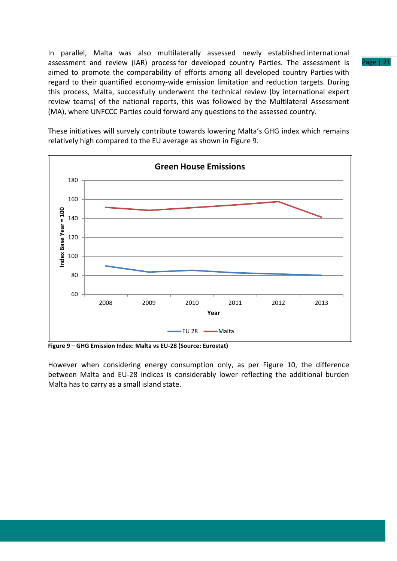In parallel, Malta was also multilaterally assessed newly established international assessment and review (IAR) process for developed country Parties. The assessment is aimed to promote the comparability of efforts among all developed country Parties with regard to their quantified economy-wide emission limitation and reduction targets. During this process, Malta, successfully underwent the technical review (by international expert review teams) of the national reports, this was followed by the Multilateral Assessment (MA), where UNFCCC Parties could forward any questions to the assessed country.

**Green House Emissions** 180 160 **Index Base Year = 100** Index Base Year = 100 140 120 100 80 60 2008 2009 2010 2011 2012 2013 **Year** EU 28 Malta

These initiatives will survely contribute towards lowering Malta's GHG index which remains relatively high compared to the EU average as shown in Figure 9.

**Figure 9 – GHG Emission Index: Malta vs EU-28 (Source: Eurostat)** 

However when considering energy consumption only, as per Figure 10, the difference between Malta and EU-28 indices is considerably lower reflecting the additional burden Malta has to carry as a small island state.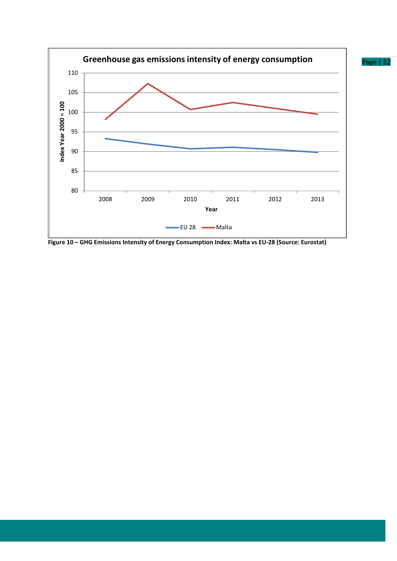

**Figure 10 – GHG Emissions Intensity of Energy Consumption Index: Malta vs EU-28 (Source: Eurostat)**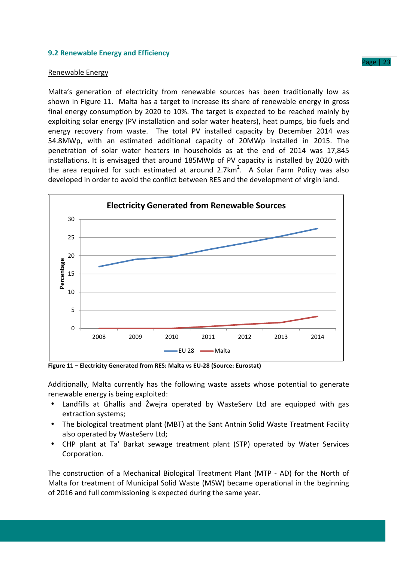### **9.2 Renewable Energy and Efficiency**

#### Renewable Energy

Malta's generation of electricity from renewable sources has been traditionally low as shown in Figure 11. Malta has a target to increase its share of renewable energy in gross final energy consumption by 2020 to 10%. The target is expected to be reached mainly by exploiting solar energy (PV installation and solar water heaters), heat pumps, bio fuels and energy recovery from waste. The total PV installed capacity by December 2014 was 54.8MWp, with an estimated additional capacity of 20MWp installed in 2015. The penetration of solar water heaters in households as at the end of 2014 was 17,845 installations. It is envisaged that around 185MWp of PV capacity is installed by 2020 with the area required for such estimated at around 2.7km<sup>2</sup>. A Solar Farm Policy was also developed in order to avoid the conflict between RES and the development of virgin land.



**Figure 11 – Electricity Generated from RES: Malta vs EU-28 (Source: Eurostat)**

Additionally, Malta currently has the following waste assets whose potential to generate renewable energy is being exploited:

- Landfills at Għallis and Żwejra operated by WasteServ Ltd are equipped with gas extraction systems;
- The biological treatment plant (MBT) at the Sant Antnin Solid Waste Treatment Facility also operated by WasteServ Ltd;
- CHP plant at Ta' Barkat sewage treatment plant (STP) operated by Water Services Corporation.

The construction of a Mechanical Biological Treatment Plant (MTP - AD) for the North of Malta for treatment of Municipal Solid Waste (MSW) became operational in the beginning of 2016 and full commissioning is expected during the same year.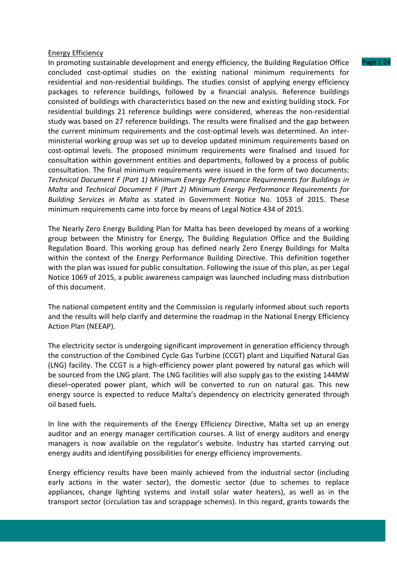### Energy Efficiency

In promoting sustainable development and energy efficiency, the Building Regulation Office concluded cost-optimal studies on the existing national minimum requirements for residential and non-residential buildings. The studies consist of applying energy efficiency packages to reference buildings, followed by a financial analysis. Reference buildings consisted of buildings with characteristics based on the new and existing building stock. For residential buildings 21 reference buildings were considered, whereas the non-residential study was based on 27 reference buildings. The results were finalised and the gap between the current minimum requirements and the cost-optimal levels was determined. An interministerial working group was set up to develop updated minimum requirements based on cost-optimal levels. The proposed minimum requirements were finalised and issued for consultation within government entities and departments, followed by a process of public consultation. The final minimum requirements were issued in the form of two documents: *Technical Document F (Part 1) Minimum Energy Performance Requirements for Buildings in Malta* and *Technical Document F (Part 2) Minimum Energy Performance Requirements for Building Services in Malta* as stated in Government Notice No. 1053 of 2015. These minimum requirements came into force by means of Legal Notice 434 of 2015.

The Nearly Zero Energy Building Plan for Malta has been developed by means of a working group between the Ministry for Energy, The Building Regulation Office and the Building Regulation Board. This working group has defined nearly Zero Energy Buildings for Malta within the context of the Energy Performance Building Directive. This definition together with the plan was issued for public consultation. Following the issue of this plan, as per Legal Notice 1069 of 2015, a public awareness campaign was launched including mass distribution of this document.

The national competent entity and the Commission is regularly informed about such reports and the results will help clarify and determine the roadmap in the National Energy Efficiency Action Plan (NEEAP).

The electricity sector is undergoing significant improvement in generation efficiency through the construction of the Combined Cycle Gas Turbine (CCGT) plant and Liquified Natural Gas (LNG) facility. The CCGT is a high-efficiency power plant powered by natural gas which will be sourced from the LNG plant. The LNG facilities will also supply gas to the existing 144MW diesel–operated power plant, which will be converted to run on natural gas. This new energy source is expected to reduce Malta's dependency on electricity generated through oil based fuels.

In line with the requirements of the Energy Efficiency Directive, Malta set up an energy auditor and an energy manager certification courses. A list of energy auditors and energy managers is now available on the regulator's website. Industry has started carrying out energy audits and identifying possibilities for energy efficiency improvements.

Energy efficiency results have been mainly achieved from the industrial sector (including early actions in the water sector), the domestic sector (due to schemes to replace appliances, change lighting systems and install solar water heaters), as well as in the transport sector (circulation tax and scrappage schemes). In this regard, grants towards the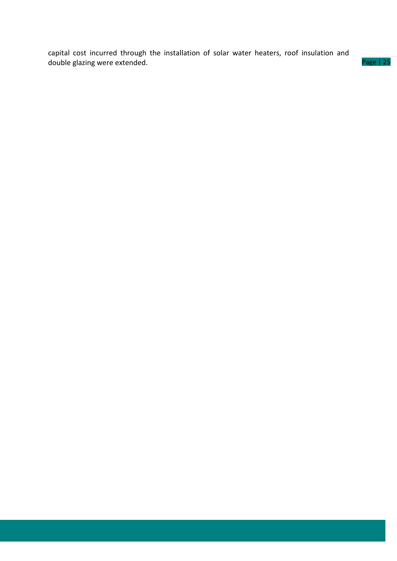capital cost incurred through the installation of solar water heaters, roof insulation and double glazing were extended.

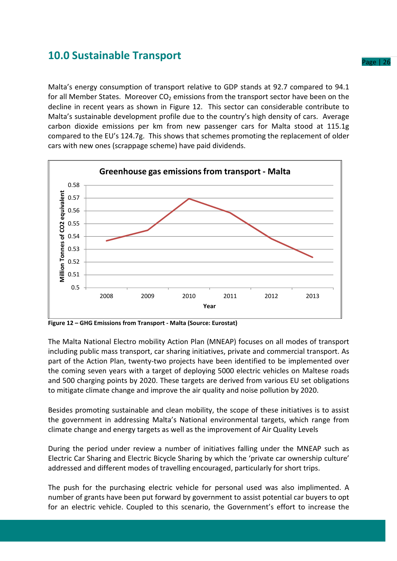### **10.0 Sustainable Transport**

Malta's energy consumption of transport relative to GDP stands at 92.7 compared to 94.1 for all Member States. Moreover  $CO<sub>2</sub>$  emissions from the transport sector have been on the decline in recent years as shown in Figure 12. This sector can considerable contribute to Malta's sustainable development profile due to the country's high density of cars. Average carbon dioxide emissions per km from new passenger cars for Malta stood at 115.1g compared to the EU's 124.7g. This shows that schemes promoting the replacement of older cars with new ones (scrappage scheme) have paid dividends.



**Figure 12 – GHG Emissions from Transport - Malta (Source: Eurostat)**

The Malta National Electro mobility Action Plan (MNEAP) focuses on all modes of transport including public mass transport, car sharing initiatives, private and commercial transport. As part of the Action Plan, twenty-two projects have been identified to be implemented over the coming seven years with a target of deploying 5000 electric vehicles on Maltese roads and 500 charging points by 2020. These targets are derived from various EU set obligations to mitigate climate change and improve the air quality and noise pollution by 2020.

Besides promoting sustainable and clean mobility, the scope of these initiatives is to assist the government in addressing Malta's National environmental targets, which range from climate change and energy targets as well as the improvement of Air Quality Levels

During the period under review a number of initiatives falling under the MNEAP such as Electric Car Sharing and Electric Bicycle Sharing by which the 'private car ownership culture' addressed and different modes of travelling encouraged, particularly for short trips.

The push for the purchasing electric vehicle for personal used was also implimented. A number of grants have been put forward by government to assist potential car buyers to opt for an electric vehicle. Coupled to this scenario, the Government's effort to increase the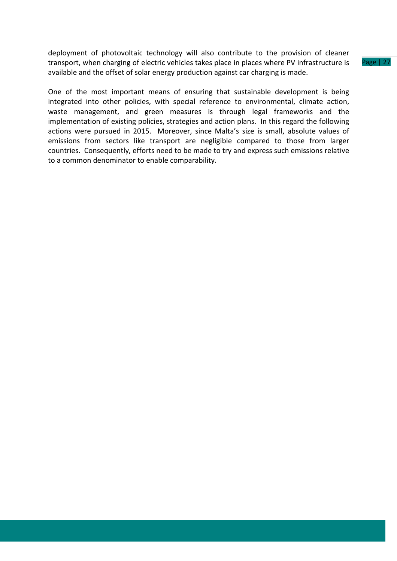deployment of photovoltaic technology will also contribute to the provision of cleaner transport, when charging of electric vehicles takes place in places where PV infrastructure is available and the offset of solar energy production against car charging is made.

One of the most important means of ensuring that sustainable development is being integrated into other policies, with special reference to environmental, climate action, waste management, and green measures is through legal frameworks and the implementation of existing policies, strategies and action plans. In this regard the following actions were pursued in 2015. Moreover, since Malta's size is small, absolute values of emissions from sectors like transport are negligible compared to those from larger countries. Consequently, efforts need to be made to try and express such emissions relative to a common denominator to enable comparability.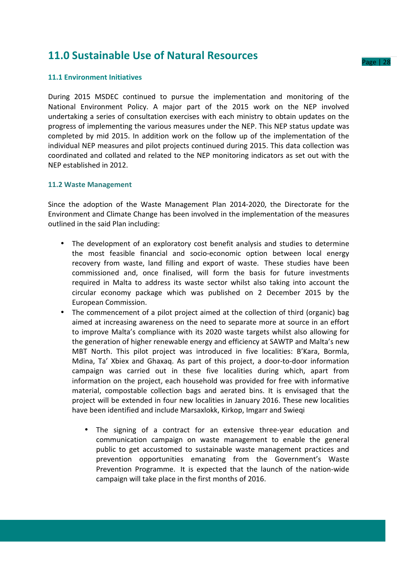### **11.0 Sustainable Use of Natural Resources**

### **11.1 Environment Initiatives**

During 2015 MSDEC continued to pursue the implementation and monitoring of the National Environment Policy. A major part of the 2015 work on the NEP involved undertaking a series of consultation exercises with each ministry to obtain updates on the progress of implementing the various measures under the NEP. This NEP status update was completed by mid 2015. In addition work on the follow up of the implementation of the individual NEP measures and pilot projects continued during 2015. This data collection was coordinated and collated and related to the NEP monitoring indicators as set out with the NEP established in 2012.

### **11.2 Waste Management**

Since the adoption of the Waste Management Plan 2014-2020, the Directorate for the Environment and Climate Change has been involved in the implementation of the measures outlined in the said Plan including:

- The development of an exploratory cost benefit analysis and studies to determine the most feasible financial and socio-economic option between local energy recovery from waste, land filling and export of waste. These studies have been commissioned and, once finalised, will form the basis for future investments required in Malta to address its waste sector whilst also taking into account the circular economy package which was published on 2 December 2015 by the European Commission.
- The commencement of a pilot project aimed at the collection of third (organic) bag aimed at increasing awareness on the need to separate more at source in an effort to improve Malta's compliance with its 2020 waste targets whilst also allowing for the generation of higher renewable energy and efficiency at SAWTP and Malta's new MBT North. This pilot project was introduced in five localities: B'Kara, Bormla, Mdina, Ta' Xbiex and Ghaxaq. As part of this project, a door-to-door information campaign was carried out in these five localities during which, apart from information on the project, each household was provided for free with informative material, compostable collection bags and aerated bins. It is envisaged that the project will be extended in four new localities in January 2016. These new localities have been identified and include Marsaxlokk, Kirkop, Imgarr and Swieqi
	- The signing of a contract for an extensive three-year education and communication campaign on waste management to enable the general public to get accustomed to sustainable waste management practices and prevention opportunities emanating from the Government's Waste Prevention Programme. It is expected that the launch of the nation-wide campaign will take place in the first months of 2016.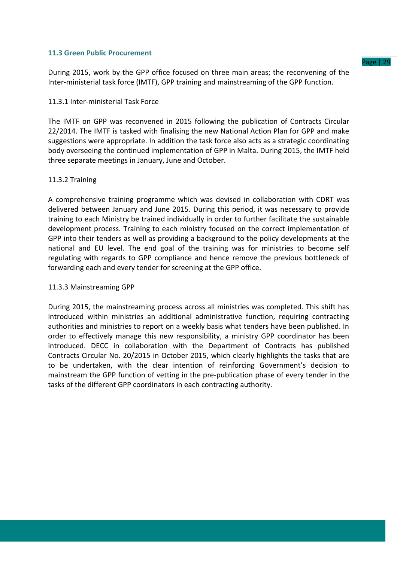### **11.3 Green Public Procurement**

During 2015, work by the GPP office focused on three main areas; the reconvening of the Inter-ministerial task force (IMTF), GPP training and mainstreaming of the GPP function.

### 11.3.1 Inter-ministerial Task Force

The IMTF on GPP was reconvened in 2015 following the publication of Contracts Circular 22/2014. The IMTF is tasked with finalising the new National Action Plan for GPP and make suggestions were appropriate. In addition the task force also acts as a strategic coordinating body overseeing the continued implementation of GPP in Malta. During 2015, the IMTF held three separate meetings in January, June and October.

### 11.3.2 Training

A comprehensive training programme which was devised in collaboration with CDRT was delivered between January and June 2015. During this period, it was necessary to provide training to each Ministry be trained individually in order to further facilitate the sustainable development process. Training to each ministry focused on the correct implementation of GPP into their tenders as well as providing a background to the policy developments at the national and EU level. The end goal of the training was for ministries to become self regulating with regards to GPP compliance and hence remove the previous bottleneck of forwarding each and every tender for screening at the GPP office.

### 11.3.3 Mainstreaming GPP

During 2015, the mainstreaming process across all ministries was completed. This shift has introduced within ministries an additional administrative function, requiring contracting authorities and ministries to report on a weekly basis what tenders have been published. In order to effectively manage this new responsibility, a ministry GPP coordinator has been introduced. DECC in collaboration with the Department of Contracts has published Contracts Circular No. 20/2015 in October 2015, which clearly highlights the tasks that are to be undertaken, with the clear intention of reinforcing Government's decision to mainstream the GPP function of vetting in the pre-publication phase of every tender in the tasks of the different GPP coordinators in each contracting authority.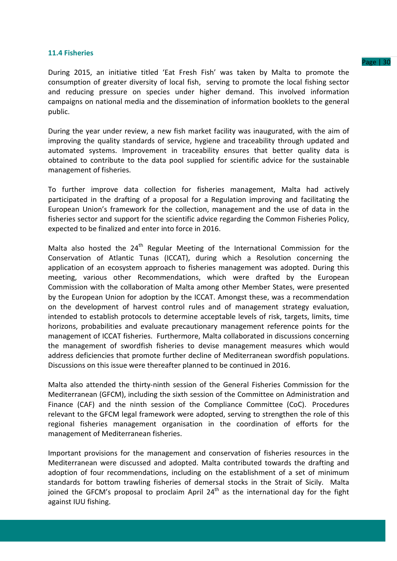### **11.4 Fisheries**

During 2015, an initiative titled 'Eat Fresh Fish' was taken by Malta to promote the consumption of greater diversity of local fish, serving to promote the local fishing sector and reducing pressure on species under higher demand. This involved information campaigns on national media and the dissemination of information booklets to the general public.

During the year under review, a new fish market facility was inaugurated, with the aim of improving the quality standards of service, hygiene and traceability through updated and automated systems. Improvement in traceability ensures that better quality data is obtained to contribute to the data pool supplied for scientific advice for the sustainable management of fisheries.

To further improve data collection for fisheries management, Malta had actively participated in the drafting of a proposal for a Regulation improving and facilitating the European Union's framework for the collection, management and the use of data in the fisheries sector and support for the scientific advice regarding the Common Fisheries Policy, expected to be finalized and enter into force in 2016.

Malta also hosted the  $24<sup>th</sup>$  Regular Meeting of the International Commission for the Conservation of Atlantic Tunas (ICCAT), during which a Resolution concerning the application of an ecosystem approach to fisheries management was adopted. During this meeting, various other Recommendations, which were drafted by the European Commission with the collaboration of Malta among other Member States, were presented by the European Union for adoption by the ICCAT. Amongst these, was a recommendation on the development of harvest control rules and of management strategy evaluation, intended to establish protocols to determine acceptable levels of risk, targets, limits, time horizons, probabilities and evaluate precautionary management reference points for the management of ICCAT fisheries. Furthermore, Malta collaborated in discussions concerning the management of swordfish fisheries to devise management measures which would address deficiencies that promote further decline of Mediterranean swordfish populations. Discussions on this issue were thereafter planned to be continued in 2016.

Malta also attended the thirty-ninth session of the General Fisheries Commission for the Mediterranean (GFCM), including the sixth session of the Committee on Administration and Finance (CAF) and the ninth session of the Compliance Committee (CoC). Procedures relevant to the GFCM legal framework were adopted, serving to strengthen the role of this regional fisheries management organisation in the coordination of efforts for the management of Mediterranean fisheries.

Important provisions for the management and conservation of fisheries resources in the Mediterranean were discussed and adopted. Malta contributed towards the drafting and adoption of four recommendations, including on the establishment of a set of minimum standards for bottom trawling fisheries of demersal stocks in the Strait of Sicily. Malta ioined the GFCM's proposal to proclaim April 24<sup>th</sup> as the international day for the fight against IUU fishing.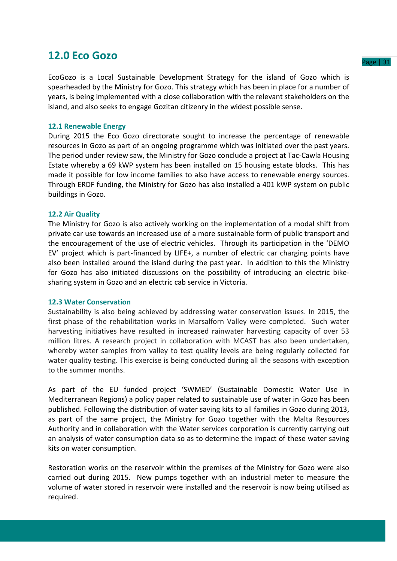### **12.0 Eco Gozo**

EcoGozo is a Local Sustainable Development Strategy for the island of Gozo which is spearheaded by the Ministry for Gozo. This strategy which has been in place for a number of years, is being implemented with a close collaboration with the relevant stakeholders on the island, and also seeks to engage Gozitan citizenry in the widest possible sense.

### **12.1 Renewable Energy**

During 2015 the Eco Gozo directorate sought to increase the percentage of renewable resources in Gozo as part of an ongoing programme which was initiated over the past years. The period under review saw, the Ministry for Gozo conclude a project at Tac-Cawla Housing Estate whereby a 69 kWP system has been installed on 15 housing estate blocks. This has made it possible for low income families to also have access to renewable energy sources. Through ERDF funding, the Ministry for Gozo has also installed a 401 kWP system on public buildings in Gozo.

### **12.2 Air Quality**

The Ministry for Gozo is also actively working on the implementation of a modal shift from private car use towards an increased use of a more sustainable form of public transport and the encouragement of the use of electric vehicles. Through its participation in the 'DEMO EV' project which is part-financed by LIFE+, a number of electric car charging points have also been installed around the island during the past year. In addition to this the Ministry for Gozo has also initiated discussions on the possibility of introducing an electric bikesharing system in Gozo and an electric cab service in Victoria.

### **12.3 Water Conservation**

Sustainability is also being achieved by addressing water conservation issues. In 2015, the first phase of the rehabilitation works in Marsalforn Valley were completed. Such water harvesting initiatives have resulted in increased rainwater harvesting capacity of over 53 million litres. A research project in collaboration with MCAST has also been undertaken, whereby water samples from valley to test quality levels are being regularly collected for water quality testing. This exercise is being conducted during all the seasons with exception to the summer months.

As part of the EU funded project 'SWMED' (Sustainable Domestic Water Use in Mediterranean Regions) a policy paper related to sustainable use of water in Gozo has been published. Following the distribution of water saving kits to all families in Gozo during 2013, as part of the same project, the Ministry for Gozo together with the Malta Resources Authority and in collaboration with the Water services corporation is currently carrying out an analysis of water consumption data so as to determine the impact of these water saving kits on water consumption.

Restoration works on the reservoir within the premises of the Ministry for Gozo were also carried out during 2015. New pumps together with an industrial meter to measure the volume of water stored in reservoir were installed and the reservoir is now being utilised as required.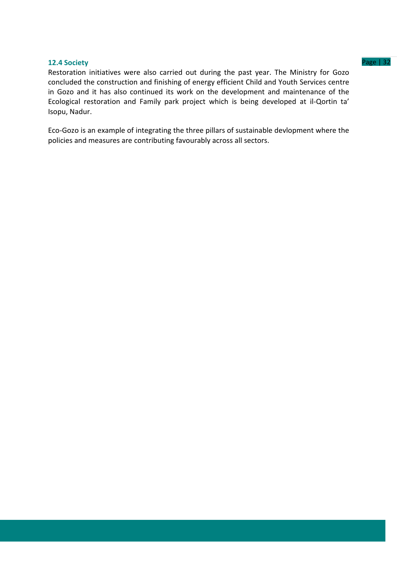### **12.4 Society** Page | 32

Restoration initiatives were also carried out during the past year. The Ministry for Gozo concluded the construction and finishing of energy efficient Child and Youth Services centre in Gozo and it has also continued its work on the development and maintenance of the Ecological restoration and Family park project which is being developed at il-Qortin ta' Isopu, Nadur.

Eco-Gozo is an example of integrating the three pillars of sustainable devlopment where the policies and measures are contributing favourably across all sectors.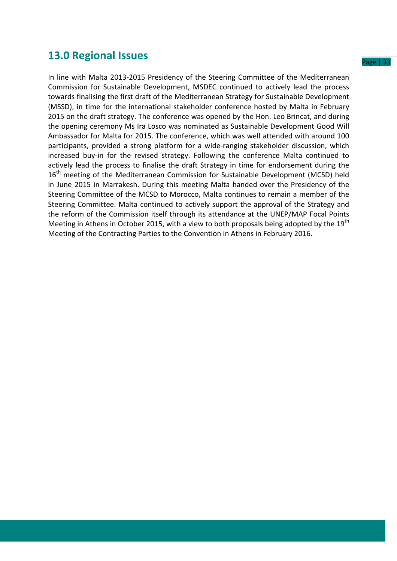### **13.0 Regional Issues**

In line with Malta 2013-2015 Presidency of the Steering Committee of the Mediterranean Commission for Sustainable Development, MSDEC continued to actively lead the process towards finalising the first draft of the Mediterranean Strategy for Sustainable Development (MSSD), in time for the international stakeholder conference hosted by Malta in February 2015 on the draft strategy. The conference was opened by the Hon. Leo Brincat, and during the opening ceremony Ms Ira Losco was nominated as Sustainable Development Good Will Ambassador for Malta for 2015. The conference, which was well attended with around 100 participants, provided a strong platform for a wide-ranging stakeholder discussion, which increased buy-in for the revised strategy. Following the conference Malta continued to actively lead the process to finalise the draft Strategy in time for endorsement during the 16<sup>th</sup> meeting of the Mediterranean Commission for Sustainable Development (MCSD) held in June 2015 in Marrakesh. During this meeting Malta handed over the Presidency of the Steering Committee of the MCSD to Morocco, Malta continues to remain a member of the Steering Committee. Malta continued to actively support the approval of the Strategy and the reform of the Commission itself through its attendance at the UNEP/MAP Focal Points Meeting in Athens in October 2015, with a view to both proposals being adopted by the  $19<sup>th</sup>$ Meeting of the Contracting Parties to the Convention in Athens in February 2016.